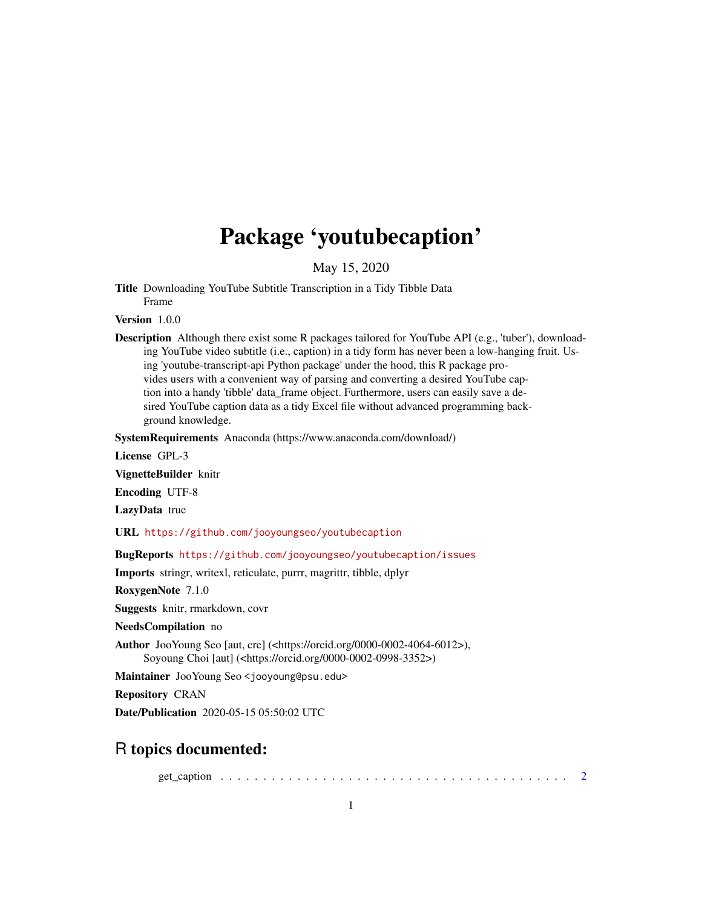## Package 'youtubecaption'

May 15, 2020

<span id="page-0-0"></span>Title Downloading YouTube Subtitle Transcription in a Tidy Tibble Data Frame

Version 1.0.0

Description Although there exist some R packages tailored for YouTube API (e.g., 'tuber'), downloading YouTube video subtitle (i.e., caption) in a tidy form has never been a low-hanging fruit. Using 'youtube-transcript-api Python package' under the hood, this R package provides users with a convenient way of parsing and converting a desired YouTube caption into a handy 'tibble' data\_frame object. Furthermore, users can easily save a desired YouTube caption data as a tidy Excel file without advanced programming background knowledge.

SystemRequirements Anaconda (https://www.anaconda.com/download/)

License GPL-3

VignetteBuilder knitr

Encoding UTF-8

LazyData true

URL <https://github.com/jooyoungseo/youtubecaption>

BugReports <https://github.com/jooyoungseo/youtubecaption/issues>

Imports stringr, writexl, reticulate, purrr, magrittr, tibble, dplyr

RoxygenNote 7.1.0

Suggests knitr, rmarkdown, covr

NeedsCompilation no

Author JooYoung Seo [aut, cre] (<https://orcid.org/0000-0002-4064-6012>), Soyoung Choi [aut] (<https://orcid.org/0000-0002-0998-3352>)

Maintainer JooYoung Seo <jooyoung@psu.edu>

Repository CRAN

Date/Publication 2020-05-15 05:50:02 UTC

#### R topics documented:

get\_caption . . . . . . . . . . . . . . . . . . . . . . . . . . . . . . . . . . . . . . . . . [2](#page-1-0)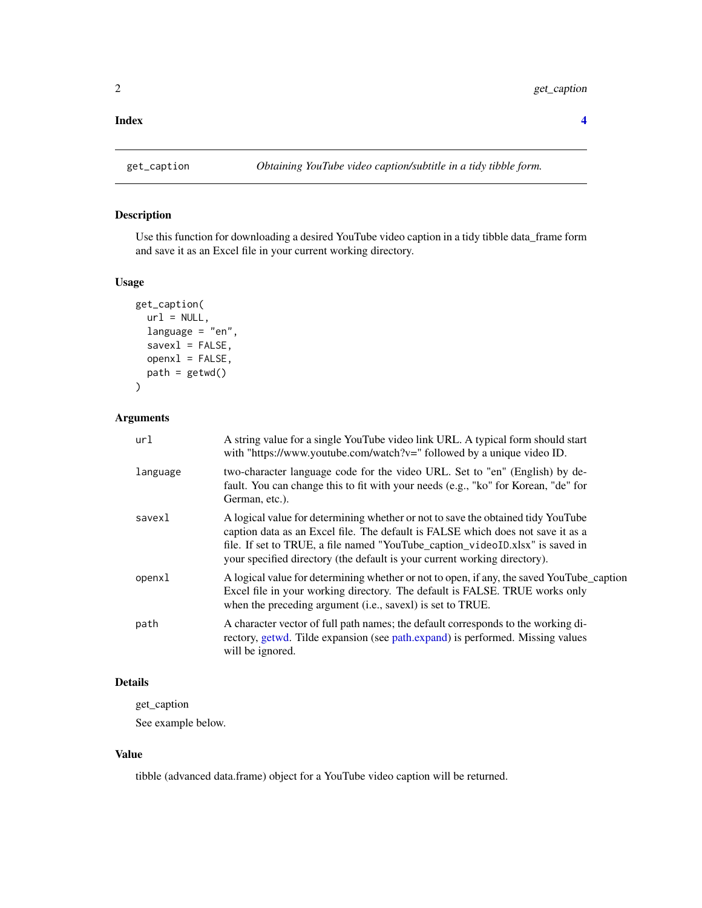#### <span id="page-1-0"></span>**Index** [4](#page-3-0)

#### Description

Use this function for downloading a desired YouTube video caption in a tidy tibble data\_frame form and save it as an Excel file in your current working directory.

#### Usage

```
get_caption(
  url = NULL,language = "en",
  saves1 = FALSE,openx1 = FALSE,path = getwd()\overline{\phantom{a}}
```
#### Arguments

| url      | A string value for a single YouTube video link URL. A typical form should start<br>with "https://www.youtube.com/watch?v=" followed by a unique video ID.                                                                                                                                                                         |
|----------|-----------------------------------------------------------------------------------------------------------------------------------------------------------------------------------------------------------------------------------------------------------------------------------------------------------------------------------|
| language | two-character language code for the video URL. Set to "en" (English) by de-<br>fault. You can change this to fit with your needs (e.g., "ko" for Korean, "de" for<br>German, etc.).                                                                                                                                               |
| savexl   | A logical value for determining whether or not to save the obtained tidy YouTube<br>caption data as an Excel file. The default is FALSE which does not save it as a<br>file. If set to TRUE, a file named "YouTube_caption_videoID.xlsx" is saved in<br>your specified directory (the default is your current working directory). |
| openxl   | A logical value for determining whether or not to open, if any, the saved YouTube_caption<br>Excel file in your working directory. The default is FALSE. TRUE works only<br>when the preceding argument (i.e., savexl) is set to TRUE.                                                                                            |
| path     | A character vector of full path names; the default corresponds to the working di-<br>rectory, getwd. Tilde expansion (see path.expand) is performed. Missing values<br>will be ignored.                                                                                                                                           |

#### Details

get\_caption

See example below.

#### Value

tibble (advanced data.frame) object for a YouTube video caption will be returned.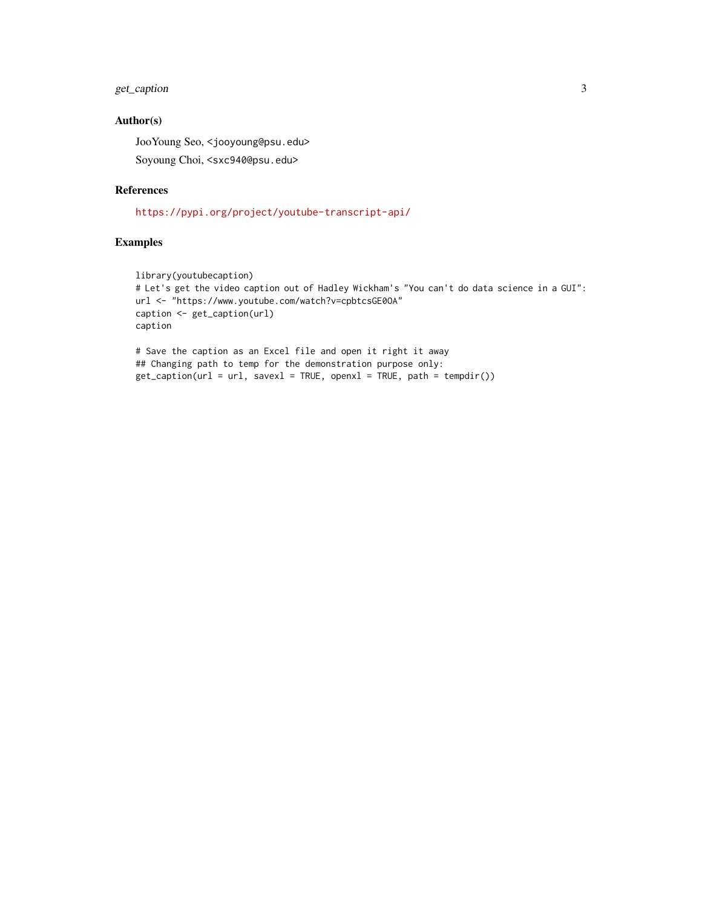#### get\_caption 3

#### Author(s)

JooYoung Seo, <jooyoung@psu.edu>

Soyoung Choi, <sxc940@psu.edu>

#### References

<https://pypi.org/project/youtube-transcript-api/>

#### Examples

```
library(youtubecaption)
# Let's get the video caption out of Hadley Wickham's "You can't do data science in a GUI":
url <- "https://www.youtube.com/watch?v=cpbtcsGE0OA"
caption <- get_caption(url)
caption
```

```
# Save the caption as an Excel file and open it right it away
## Changing path to temp for the demonstration purpose only:
get_caption(url = url, savex1 = TRUE, openx1 = TRUE, path = tempdir())
```